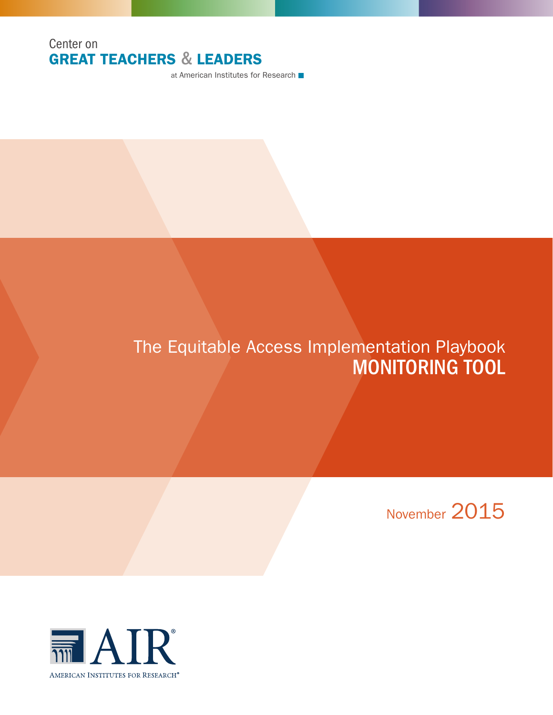### Center on GREAT TEACHERS & LEADERS

at American Institutes for Research ■

# The Equitable Access Implementation Playbook MONITORING TOOL

November 2015

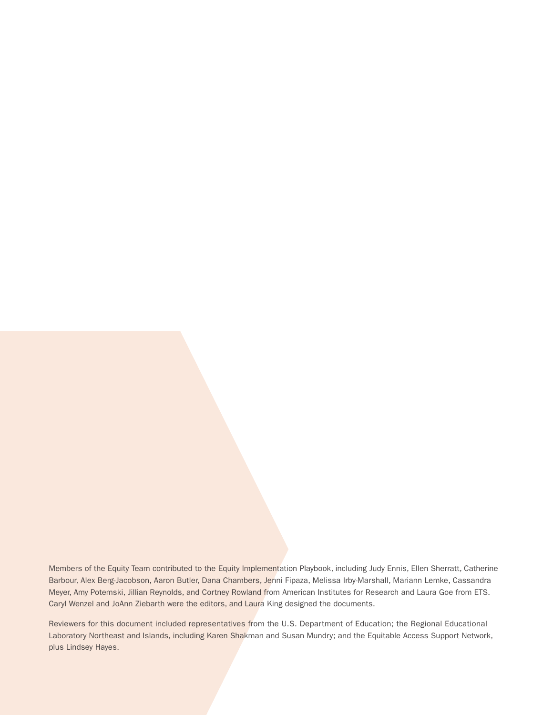Members of the Equity Team contributed to the Equity Implementation Playbook, including Judy Ennis, Ellen Sherratt, Catherine Barbour, Alex Berg-Jacobson, Aaron Butler, Dana Chambers, Jenni Fipaza, Melissa Irby-Marshall, Mariann Lemke, Cassandra Meyer, Amy Potemski, Jillian Reynolds, and Cortney Rowland from American Institutes for Research and Laura Goe from ETS. Caryl Wenzel and JoAnn Ziebarth were the editors, and Laura King designed the documents.

Reviewers for this document included representatives from the U.S. Department of Education; the Regional Educational Laboratory Northeast and Islands, including Karen Shakman and Susan Mundry; and the Equitable Access Support Network, plus Lindsey Hayes.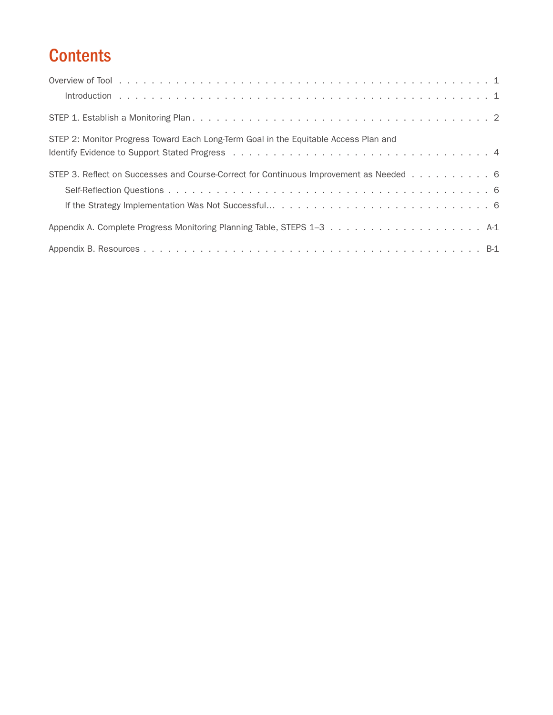# **Contents**

| STEP 2: Monitor Progress Toward Each Long-Term Goal in the Equitable Access Plan and   |  |
|----------------------------------------------------------------------------------------|--|
|                                                                                        |  |
| STEP 3. Reflect on Successes and Course-Correct for Continuous Improvement as Needed 6 |  |
|                                                                                        |  |
|                                                                                        |  |
|                                                                                        |  |
|                                                                                        |  |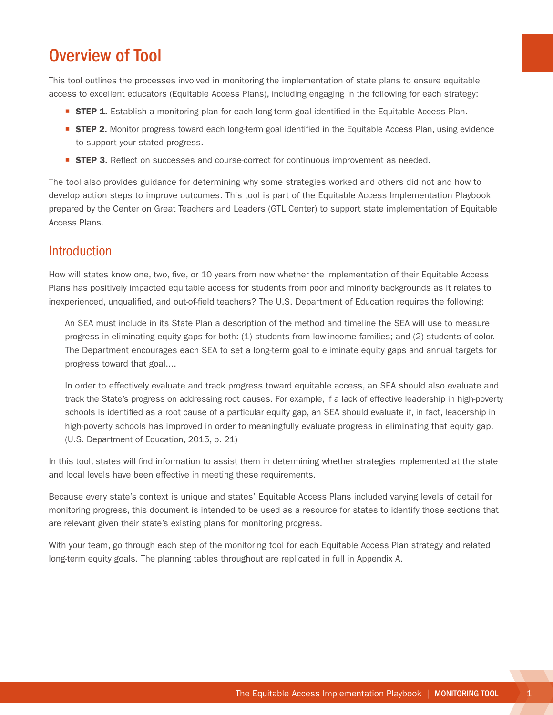### <span id="page-4-0"></span>Overview of Tool

This tool outlines the processes involved in monitoring the implementation of state plans to ensure equitable access to excellent educators (Equitable Access Plans), including engaging in the following for each strategy:

- **STEP 1.** Establish a monitoring plan for each long-term goal identified in the Equitable Access Plan.
- **STEP 2.** Monitor progress toward each long-term goal identified in the Equitable Access Plan, using evidence to support your stated progress.
- **STEP 3.** Reflect on successes and course-correct for continuous improvement as needed.

The tool also provides guidance for determining why some strategies worked and others did not and how to develop action steps to improve outcomes. This tool is part of the Equitable Access Implementation Playbook prepared by the Center on Great Teachers and Leaders (GTL Center) to support state implementation of Equitable Access Plans.

### Introduction

How will states know one, two, five, or 10 years from now whether the implementation of their Equitable Access Plans has positively impacted equitable access for students from poor and minority backgrounds as it relates to inexperienced, unqualified, and out-of-field teachers? The U.S. Department of Education requires the following:

An SEA must include in its State Plan a description of the method and timeline the SEA will use to measure progress in eliminating equity gaps for both: (1) students from low-income families; and (2) students of color. The Department encourages each SEA to set a long-term goal to eliminate equity gaps and annual targets for progress toward that goal....

In order to effectively evaluate and track progress toward equitable access, an SEA should also evaluate and track the State's progress on addressing root causes. For example, if a lack of effective leadership in high-poverty schools is identified as a root cause of a particular equity gap, an SEA should evaluate if, in fact, leadership in high-poverty schools has improved in order to meaningfully evaluate progress in eliminating that equity gap. (U.S. Department of Education, 2015, p. 21)

In this tool, states will find information to assist them in determining whether strategies implemented at the state and local levels have been effective in meeting these requirements.

Because every state's context is unique and states' Equitable Access Plans included varying levels of detail for monitoring progress, this document is intended to be used as a resource for states to identify those sections that are relevant given their state's existing plans for monitoring progress.

With your team, go through each step of the monitoring tool for each Equitable Access Plan strategy and related long-term equity goals. The planning tables throughout are replicated in full in Appendix A.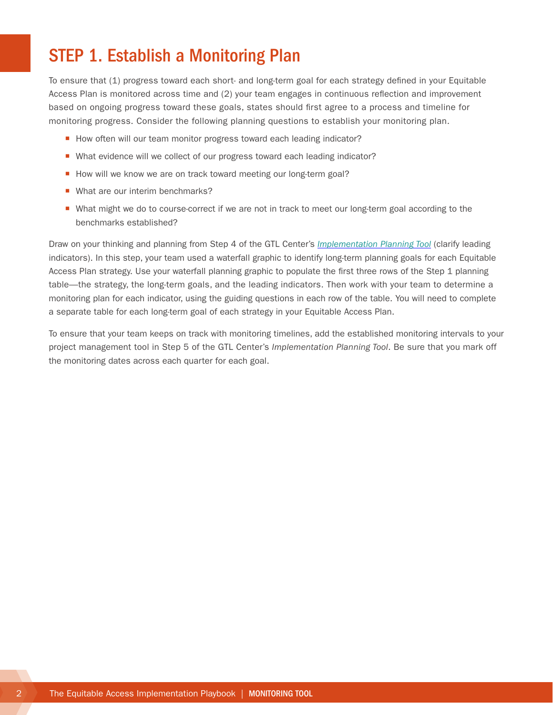## <span id="page-5-0"></span>STEP 1. Establish a Monitoring Plan

To ensure that (1) progress toward each short- and long-term goal for each strategy defined in your Equitable Access Plan is monitored across time and (2) your team engages in continuous reflection and improvement based on ongoing progress toward these goals, states should first agree to a process and timeline for monitoring progress. Consider the following planning questions to establish your monitoring plan.

- How often will our team monitor progress toward each leading indicator?
- What evidence will we collect of our progress toward each leading indicator?
- How will we know we are on track toward meeting our long-term goal?
- What are our interim benchmarks?
- What might we do to course-correct if we are not in track to meet our long-term goal according to the benchmarks established?

Draw on your thinking and planning from Step 4 of the GTL Center's *[Implementation Planning Tool](http://www.gtlcenter.org/sites/default/files/Implementation_Planning_Tool.pdf)* (clarify leading indicators). In this step, your team used a waterfall graphic to identify long-term planning goals for each Equitable Access Plan strategy. Use your waterfall planning graphic to populate the first three rows of the Step 1 planning table—the strategy, the long-term goals, and the leading indicators. Then work with your team to determine a monitoring plan for each indicator, using the guiding questions in each row of the table. You will need to complete a separate table for each long-term goal of each strategy in your Equitable Access Plan.

To ensure that your team keeps on track with monitoring timelines, add the established monitoring intervals to your project management tool in Step 5 of the GTL Center's *Implementation Planning Tool*. Be sure that you mark off the monitoring dates across each quarter for each goal.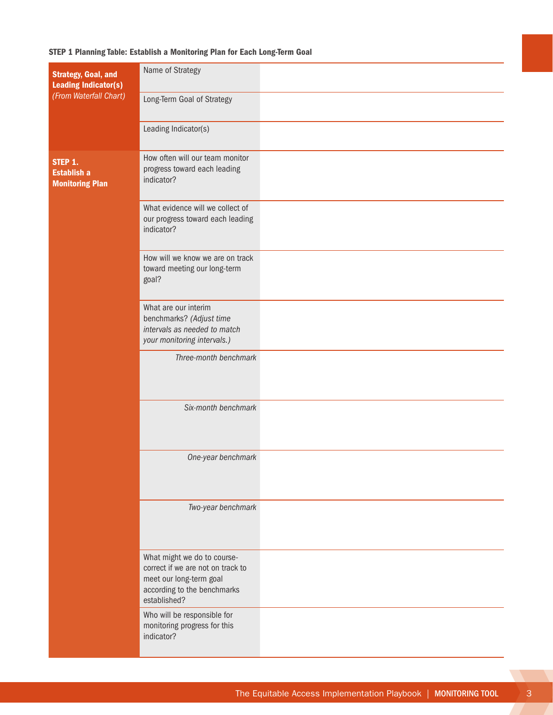#### STEP 1 Planning Table: Establish a Monitoring Plan for Each Long-Term Goal

| <b>Strategy, Goal, and</b><br><b>Leading Indicator(s)</b><br>(From Waterfall Chart) | Name of Strategy                                                                                                                           |  |
|-------------------------------------------------------------------------------------|--------------------------------------------------------------------------------------------------------------------------------------------|--|
|                                                                                     | Long-Term Goal of Strategy                                                                                                                 |  |
|                                                                                     | Leading Indicator(s)                                                                                                                       |  |
| STEP 1.<br><b>Establish a</b><br><b>Monitoring Plan</b>                             | How often will our team monitor<br>progress toward each leading<br>indicator?                                                              |  |
|                                                                                     | What evidence will we collect of<br>our progress toward each leading<br>indicator?                                                         |  |
|                                                                                     | How will we know we are on track<br>toward meeting our long-term<br>goal?                                                                  |  |
|                                                                                     | What are our interim<br>benchmarks? (Adjust time<br>intervals as needed to match<br>your monitoring intervals.)                            |  |
|                                                                                     | Three-month benchmark                                                                                                                      |  |
|                                                                                     | Six-month benchmark                                                                                                                        |  |
|                                                                                     | One-year benchmark                                                                                                                         |  |
|                                                                                     | Two-year benchmark                                                                                                                         |  |
|                                                                                     | What might we do to course-<br>correct if we are not on track to<br>meet our long-term goal<br>according to the benchmarks<br>established? |  |
|                                                                                     | Who will be responsible for<br>monitoring progress for this<br>indicator?                                                                  |  |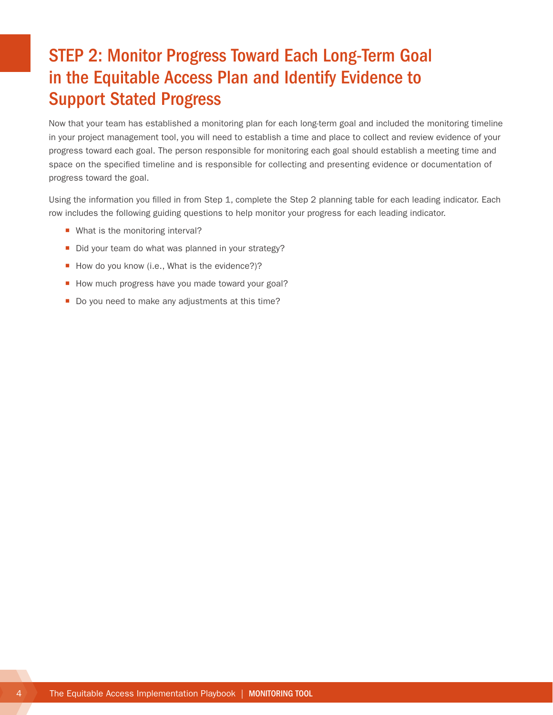## <span id="page-7-0"></span>STEP 2: Monitor Progress Toward Each Long-Term Goal in the Equitable Access Plan and Identify Evidence to Support Stated Progress

Now that your team has established a monitoring plan for each long-term goal and included the monitoring timeline in your project management tool, you will need to establish a time and place to collect and review evidence of your progress toward each goal. The person responsible for monitoring each goal should establish a meeting time and space on the specified timeline and is responsible for collecting and presenting evidence or documentation of progress toward the goal.

Using the information you filled in from Step 1, complete the Step 2 planning table for each leading indicator. Each row includes the following guiding questions to help monitor your progress for each leading indicator.

- What is the monitoring interval?
- Did your team do what was planned in your strategy?
- How do you know (i.e., What is the evidence?)?
- How much progress have you made toward your goal?
- Do you need to make any adjustments at this time?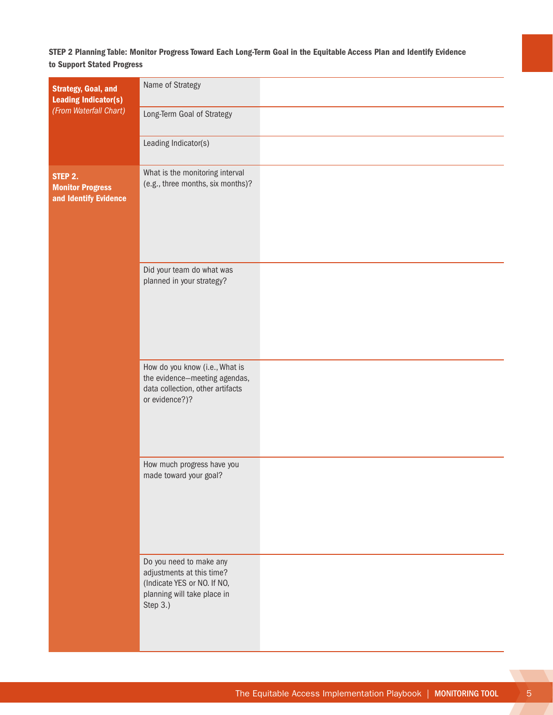### STEP 2 Planning Table: Monitor Progress Toward Each Long-Term Goal in the Equitable Access Plan and Identify Evidence to Support Stated Progress

| <b>Strategy, Goal, and</b><br><b>Leading Indicator(s)</b>   | Name of Strategy                                                                                                               |  |
|-------------------------------------------------------------|--------------------------------------------------------------------------------------------------------------------------------|--|
| (From Waterfall Chart)                                      | Long-Term Goal of Strategy                                                                                                     |  |
|                                                             | Leading Indicator(s)                                                                                                           |  |
| STEP 2.<br><b>Monitor Progress</b><br>and Identify Evidence | What is the monitoring interval<br>(e.g., three months, six months)?                                                           |  |
|                                                             | Did your team do what was<br>planned in your strategy?                                                                         |  |
|                                                             | How do you know (i.e., What is<br>the evidence-meeting agendas,<br>data collection, other artifacts<br>or evidence?)?          |  |
|                                                             | How much progress have you<br>made toward your goal?                                                                           |  |
|                                                             | Do you need to make any<br>adjustments at this time?<br>(Indicate YES or NO. If NO,<br>planning will take place in<br>Step 3.) |  |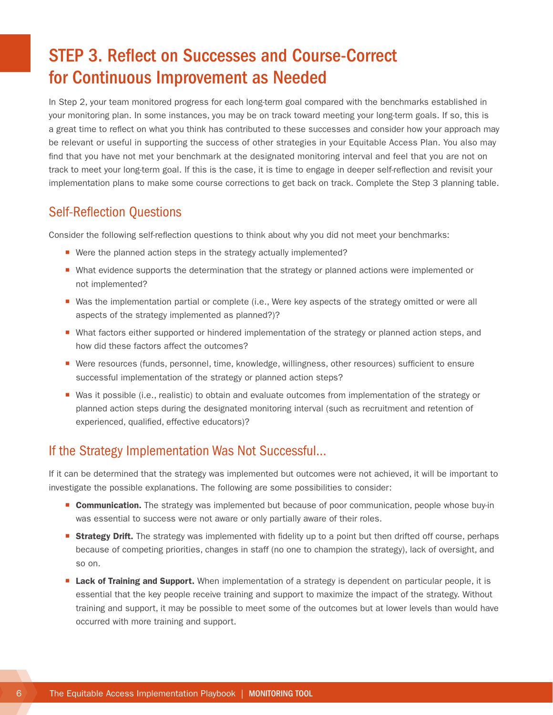## <span id="page-9-0"></span>STEP 3. Reflect on Successes and Course-Correct for Continuous Improvement as Needed

In Step 2, your team monitored progress for each long-term goal compared with the benchmarks established in your monitoring plan. In some instances, you may be on track toward meeting your long-term goals. If so, this is a great time to reflect on what you think has contributed to these successes and consider how your approach may be relevant or useful in supporting the success of other strategies in your Equitable Access Plan. You also may find that you have not met your benchmark at the designated monitoring interval and feel that you are not on track to meet your long-term goal. If this is the case, it is time to engage in deeper self-reflection and revisit your implementation plans to make some course corrections to get back on track. Complete the Step 3 planning table.

### Self-Reflection Questions

Consider the following self-reflection questions to think about why you did not meet your benchmarks:

- Were the planned action steps in the strategy actually implemented?
- What evidence supports the determination that the strategy or planned actions were implemented or not implemented?
- Was the implementation partial or complete (i.e., Were key aspects of the strategy omitted or were all aspects of the strategy implemented as planned?)?
- What factors either supported or hindered implementation of the strategy or planned action steps, and how did these factors affect the outcomes?
- Were resources (funds, personnel, time, knowledge, willingness, other resources) sufficient to ensure successful implementation of the strategy or planned action steps?
- Was it possible (i.e., realistic) to obtain and evaluate outcomes from implementation of the strategy or planned action steps during the designated monitoring interval (such as recruitment and retention of experienced, qualified, effective educators)?

### If the Strategy Implementation Was Not Successful…

If it can be determined that the strategy was implemented but outcomes were not achieved, it will be important to investigate the possible explanations. The following are some possibilities to consider:

- **Communication.** The strategy was implemented but because of poor communication, people whose buy-in was essential to success were not aware or only partially aware of their roles.
- **Strategy Drift.** The strategy was implemented with fidelity up to a point but then drifted off course, perhaps because of competing priorities, changes in staff (no one to champion the strategy), lack of oversight, and so on.
- **Exack of Training and Support.** When implementation of a strategy is dependent on particular people, it is essential that the key people receive training and support to maximize the impact of the strategy. Without training and support, it may be possible to meet some of the outcomes but at lower levels than would have occurred with more training and support.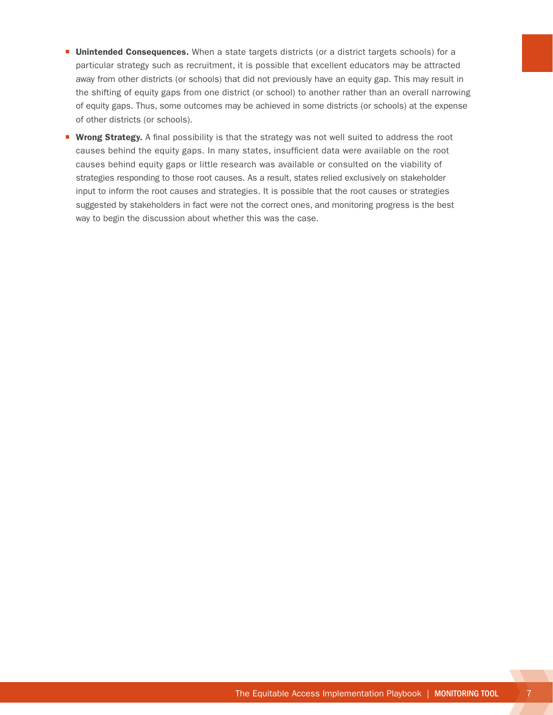- **Unintended Consequences.** When a state targets districts (or a district targets schools) for a particular strategy such as recruitment, it is possible that excellent educators may be attracted away from other districts (or schools) that did not previously have an equity gap. This may result in the shifting of equity gaps from one district (or school) to another rather than an overall narrowing of equity gaps. Thus, some outcomes may be achieved in some districts (or schools) at the expense of other districts (or schools).
- **Wrong Strategy.** A final possibility is that the strategy was not well suited to address the root causes behind the equity gaps. In many states, insufficient data were available on the root causes behind equity gaps or little research was available or consulted on the viability of strategies responding to those root causes. As a result, states relied exclusively on stakeholder input to inform the root causes and strategies. It is possible that the root causes or strategies suggested by stakeholders in fact were not the correct ones, and monitoring progress is the best way to begin the discussion about whether this was the case.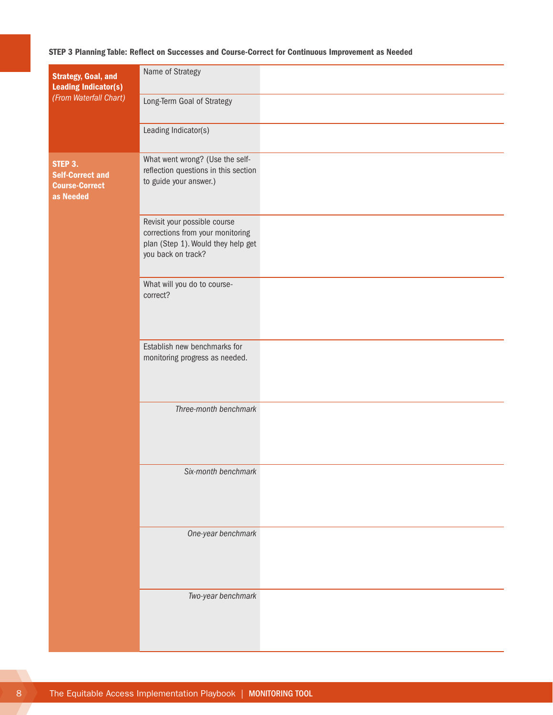#### STEP 3 Planning Table: Reflect on Successes and Course-Correct for Continuous Improvement as Needed

| <b>Strategy, Goal, and</b><br><b>Leading Indicator(s)</b><br>(From Waterfall Chart) | Name of Strategy                                                                                                             |  |
|-------------------------------------------------------------------------------------|------------------------------------------------------------------------------------------------------------------------------|--|
|                                                                                     | Long-Term Goal of Strategy                                                                                                   |  |
|                                                                                     | Leading Indicator(s)                                                                                                         |  |
| STEP 3.<br><b>Self-Correct and</b><br><b>Course-Correct</b><br>as Needed            | What went wrong? (Use the self-<br>reflection questions in this section<br>to guide your answer.)                            |  |
|                                                                                     | Revisit your possible course<br>corrections from your monitoring<br>plan (Step 1). Would they help get<br>you back on track? |  |
|                                                                                     | What will you do to course-<br>correct?                                                                                      |  |
|                                                                                     | Establish new benchmarks for<br>monitoring progress as needed.                                                               |  |
|                                                                                     | Three-month benchmark                                                                                                        |  |
|                                                                                     | Six-month benchmark                                                                                                          |  |
|                                                                                     | One-year benchmark                                                                                                           |  |
|                                                                                     | Two-year benchmark                                                                                                           |  |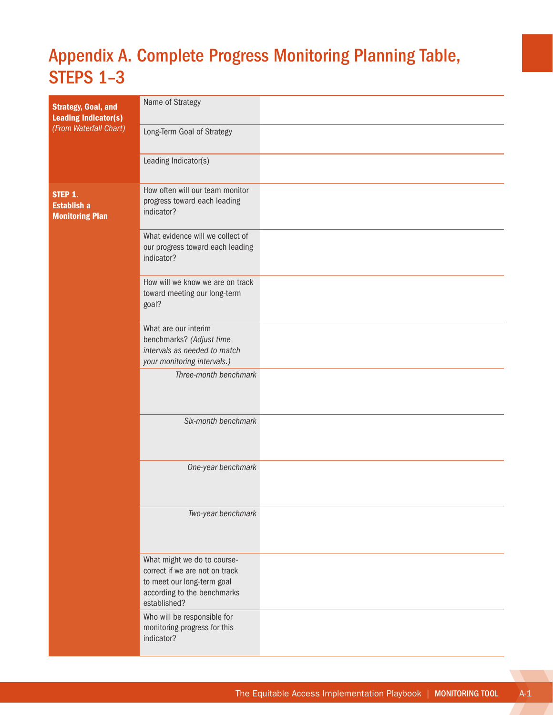# <span id="page-12-0"></span>Appendix A. Complete Progress Monitoring Planning Table, STEPS 1–3

| <b>Strategy, Goal, and</b><br><b>Leading Indicator(s)</b><br>(From Waterfall Chart) | Name of Strategy                                                                                                                           |  |
|-------------------------------------------------------------------------------------|--------------------------------------------------------------------------------------------------------------------------------------------|--|
|                                                                                     | Long-Term Goal of Strategy                                                                                                                 |  |
|                                                                                     | Leading Indicator(s)                                                                                                                       |  |
| STEP 1.<br><b>Establish a</b><br><b>Monitoring Plan</b>                             | How often will our team monitor<br>progress toward each leading<br>indicator?                                                              |  |
|                                                                                     | What evidence will we collect of<br>our progress toward each leading<br>indicator?                                                         |  |
|                                                                                     | How will we know we are on track<br>toward meeting our long-term<br>goal?                                                                  |  |
|                                                                                     | What are our interim<br>benchmarks? (Adjust time<br>intervals as needed to match<br>your monitoring intervals.)                            |  |
|                                                                                     | Three-month benchmark                                                                                                                      |  |
|                                                                                     | Six-month benchmark                                                                                                                        |  |
|                                                                                     | One-year benchmark                                                                                                                         |  |
|                                                                                     | Two-year benchmark                                                                                                                         |  |
|                                                                                     | What might we do to course-<br>correct if we are not on track<br>to meet our long-term goal<br>according to the benchmarks<br>established? |  |
|                                                                                     | Who will be responsible for<br>monitoring progress for this<br>indicator?                                                                  |  |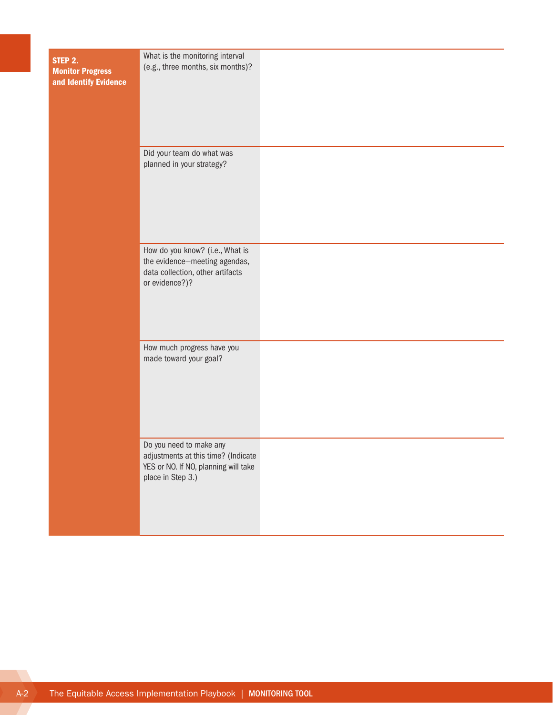| STEP 2.<br><b>Monitor Progress</b><br>and Identify Evidence | What is the monitoring interval<br>(e.g., three months, six months)?                                                        |  |
|-------------------------------------------------------------|-----------------------------------------------------------------------------------------------------------------------------|--|
|                                                             | Did your team do what was<br>planned in your strategy?                                                                      |  |
|                                                             | How do you know? (i.e., What is<br>the evidence-meeting agendas,<br>data collection, other artifacts<br>or evidence?)?      |  |
|                                                             | How much progress have you<br>made toward your goal?                                                                        |  |
|                                                             | Do you need to make any<br>adjustments at this time? (Indicate<br>YES or NO. If NO, planning will take<br>place in Step 3.) |  |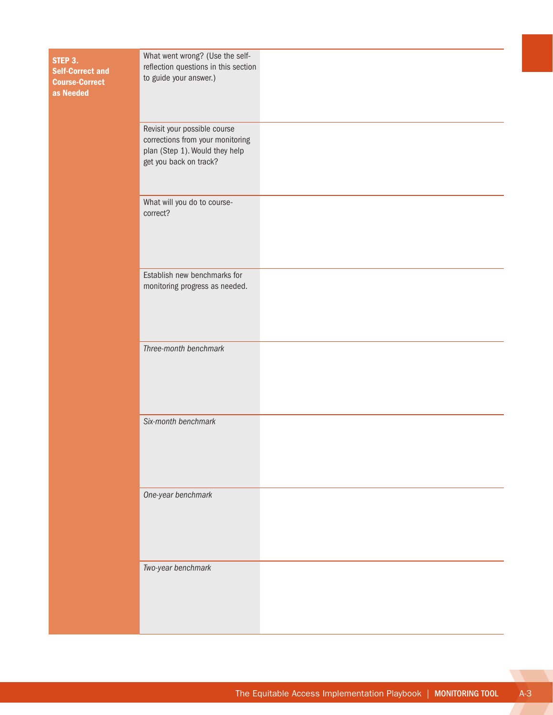| STEP 3.<br><b>Self-Correct and</b><br><b>Course-Correct</b><br>as Needed | What went wrong? (Use the self-<br>reflection questions in this section<br>to guide your answer.)                            |  |
|--------------------------------------------------------------------------|------------------------------------------------------------------------------------------------------------------------------|--|
|                                                                          | Revisit your possible course<br>corrections from your monitoring<br>plan (Step 1). Would they help<br>get you back on track? |  |
|                                                                          | What will you do to course-<br>correct?                                                                                      |  |
|                                                                          | Establish new benchmarks for<br>monitoring progress as needed.                                                               |  |
|                                                                          | Three-month benchmark                                                                                                        |  |
|                                                                          | Six-month benchmark                                                                                                          |  |
|                                                                          | One-year benchmark                                                                                                           |  |
|                                                                          | Two-year benchmark                                                                                                           |  |

**Card**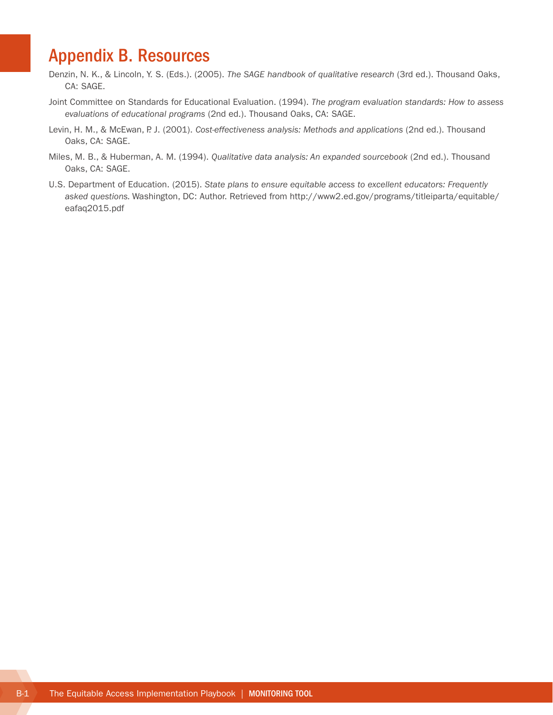### <span id="page-15-0"></span>Appendix B. Resources

- Denzin, N. K., & Lincoln, Y. S. (Eds.). (2005). *The SAGE handbook of qualitative research* (3rd ed.). Thousand Oaks, CA: SAGE.
- Joint Committee on Standards for Educational Evaluation. (1994). *The program evaluation standards: How to assess evaluations of educational programs* (2nd ed.). Thousand Oaks, CA: SAGE.
- Levin, H. M., & McEwan, P. J. (2001). *Cost-effectiveness analysis: Methods and applications* (2nd ed.). Thousand Oaks, CA: SAGE.
- Miles, M. B., & Huberman, A. M. (1994). *Qualitative data analysis: An expanded sourcebook* (2nd ed.). Thousand Oaks, CA: SAGE.
- U.S. Department of Education. (2015). *State plans to ensure equitable access to excellent educators: Frequently asked questions.* Washington, DC: Author. Retrieved from [http://www2.ed.gov/programs/titleiparta/equitable/](http://www2.ed.gov/programs/titleiparta/equitable/eafaq2015.pdf) [eafaq2015.pdf](http://www2.ed.gov/programs/titleiparta/equitable/eafaq2015.pdf)